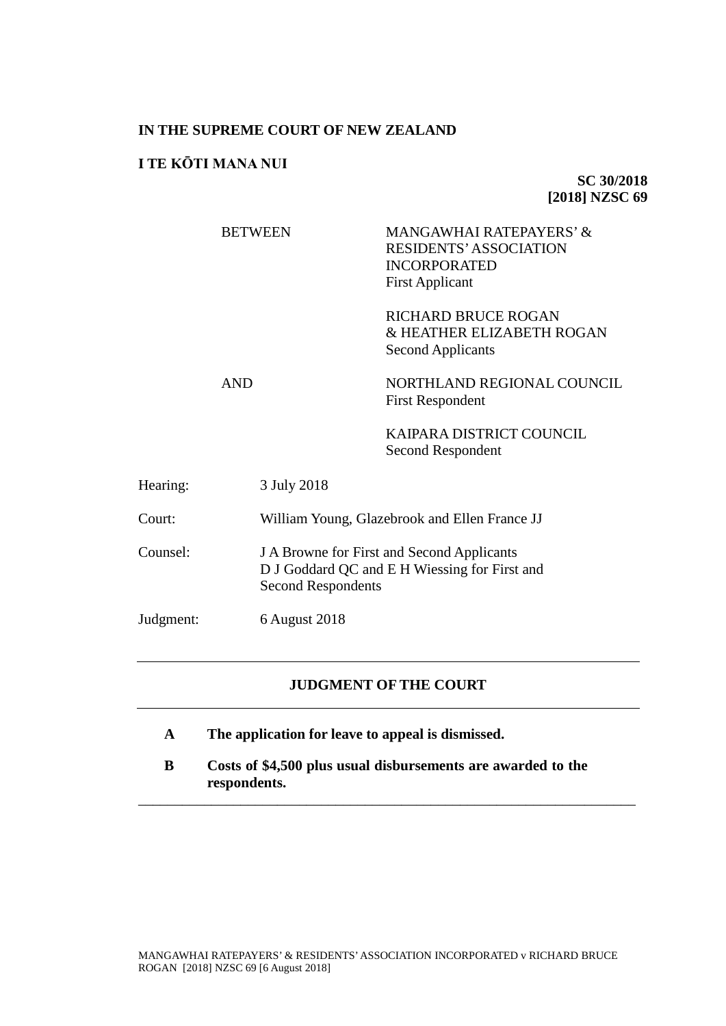# **IN THE SUPREME COURT OF NEW ZEALAND**

# **I TE KŌTI MANA NUI**

**SC 30/2018 [2018] NZSC 69**

|           |            | <b>BETWEEN</b>                                                                                                           | MANGAWHAI RATEPAYERS' &<br><b>RESIDENTS' ASSOCIATION</b><br><b>INCORPORATED</b><br><b>First Applicant</b> |
|-----------|------------|--------------------------------------------------------------------------------------------------------------------------|-----------------------------------------------------------------------------------------------------------|
|           |            |                                                                                                                          | <b>RICHARD BRUCE ROGAN</b><br>& HEATHER ELIZABETH ROGAN<br><b>Second Applicants</b>                       |
|           | <b>AND</b> |                                                                                                                          | NORTHLAND REGIONAL COUNCIL<br><b>First Respondent</b>                                                     |
|           |            |                                                                                                                          | KAIPARA DISTRICT COUNCIL<br>Second Respondent                                                             |
| Hearing:  |            | 3 July 2018                                                                                                              |                                                                                                           |
| Court:    |            | William Young, Glazebrook and Ellen France JJ                                                                            |                                                                                                           |
| Counsel:  |            | J A Browne for First and Second Applicants<br>D J Goddard QC and E H Wiessing for First and<br><b>Second Respondents</b> |                                                                                                           |
| Judgment: |            | 6 August 2018                                                                                                            |                                                                                                           |
|           |            |                                                                                                                          |                                                                                                           |

# **JUDGMENT OF THE COURT**

- **A The application for leave to appeal is dismissed.**
- **B Costs of \$4,500 plus usual disbursements are awarded to the respondents.**

\_\_\_\_\_\_\_\_\_\_\_\_\_\_\_\_\_\_\_\_\_\_\_\_\_\_\_\_\_\_\_\_\_\_\_\_\_\_\_\_\_\_\_\_\_\_\_\_\_\_\_\_\_\_\_\_\_\_\_\_\_\_\_\_\_\_\_\_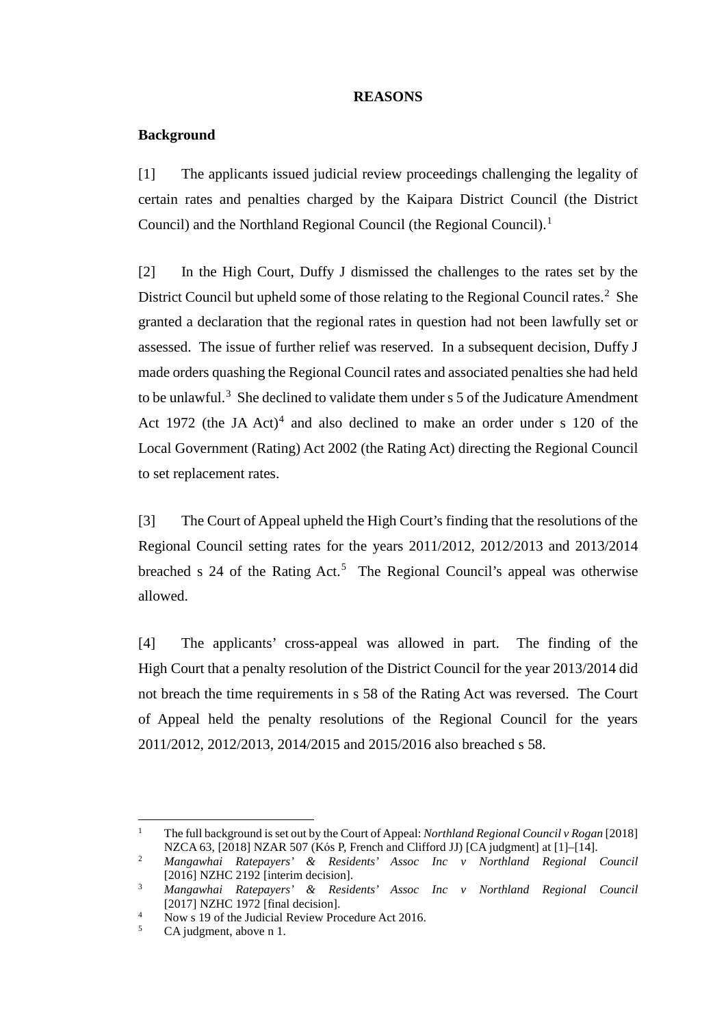# <span id="page-1-6"></span><span id="page-1-0"></span>**REASONS**

# **Background**

[1] The applicants issued judicial review proceedings challenging the legality of certain rates and penalties charged by the Kaipara District Council (the District Council) and the Northland Regional Council (the Regional Council).<sup>[1](#page-1-1)</sup>

[2] In the High Court, Duffy J dismissed the challenges to the rates set by the District Council but upheld some of those relating to the Regional Council rates.<sup>[2](#page-1-2)</sup> She granted a declaration that the regional rates in question had not been lawfully set or assessed. The issue of further relief was reserved. In a subsequent decision, Duffy J made orders quashing the Regional Council rates and associated penalties she had held to be unlawful.<sup>[3](#page-1-3)</sup> She declined to validate them under  $s$  5 of the Judicature Amendment Act 1972 (the JA Act)<sup>[4](#page-1-4)</sup> and also declined to make an order under s 120 of the Local Government (Rating) Act 2002 (the Rating Act) directing the Regional Council to set replacement rates.

[3] The Court of Appeal upheld the High Court's finding that the resolutions of the Regional Council setting rates for the years 2011/2012, 2012/2013 and 2013/2014 breached s  $24$  of the Rating Act.<sup>[5](#page-1-5)</sup> The Regional Council's appeal was otherwise allowed.

[4] The applicants' cross-appeal was allowed in part. The finding of the High Court that a penalty resolution of the District Council for the year 2013/2014 did not breach the time requirements in s 58 of the Rating Act was reversed. The Court of Appeal held the penalty resolutions of the Regional Council for the years 2011/2012, 2012/2013, 2014/2015 and 2015/2016 also breached s 58.

 <sup>1</sup> The full background is set out by the Court of Appeal: *Northland Regional Council v Rogan* [2018] NZCA 63, [2018] NZAR 507 (Kós P, French and Clifford JJ) [CA judgment] at [1]–[14].

<span id="page-1-2"></span><span id="page-1-1"></span><sup>2</sup> *Mangawhai Ratepayers' & Residents' Assoc Inc v Northland Regional Council* [2016] NZHC 2192 [interim decision].

<span id="page-1-3"></span><sup>3</sup> *Mangawhai Ratepayers' & Residents' Assoc Inc v Northland Regional Council* [2017] NZHC 1972 [final decision].

<span id="page-1-4"></span><sup>&</sup>lt;sup>4</sup> Now s 19 of the Judicial Review Procedure Act 2016.<br>CA judgment, above n [1.](#page-1-0)

<span id="page-1-5"></span>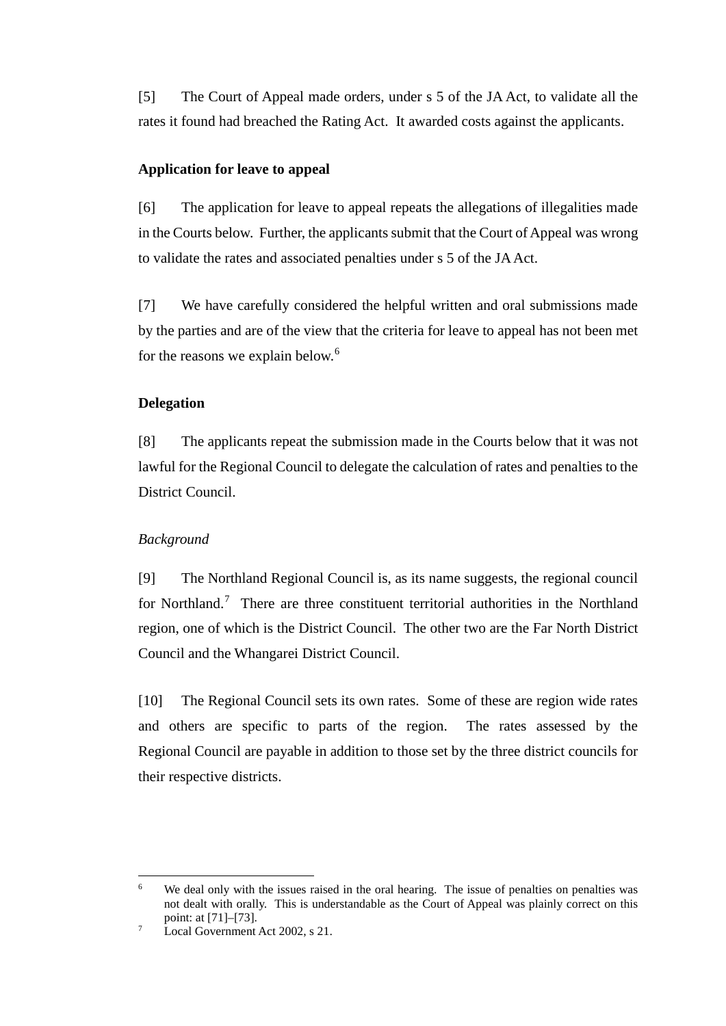[5] The Court of Appeal made orders, under s 5 of the JA Act, to validate all the rates it found had breached the Rating Act. It awarded costs against the applicants.

# **Application for leave to appeal**

[6] The application for leave to appeal repeats the allegations of illegalities made in the Courts below. Further, the applicants submit that the Court of Appeal was wrong to validate the rates and associated penalties under s 5 of the JA Act.

[7] We have carefully considered the helpful written and oral submissions made by the parties and are of the view that the criteria for leave to appeal has not been met for the reasons we explain below.<sup>[6](#page-2-0)</sup>

# **Delegation**

[8] The applicants repeat the submission made in the Courts below that it was not lawful for the Regional Council to delegate the calculation of rates and penalties to the District Council.

# *Background*

[9] The Northland Regional Council is, as its name suggests, the regional council for Northland.<sup>[7](#page-2-1)</sup> There are three constituent territorial authorities in the Northland region, one of which is the District Council. The other two are the Far North District Council and the Whangarei District Council.

[10] The Regional Council sets its own rates. Some of these are region wide rates and others are specific to parts of the region. The rates assessed by the Regional Council are payable in addition to those set by the three district councils for their respective districts.

<span id="page-2-0"></span><sup>&</sup>lt;sup>6</sup> We deal only with the issues raised in the oral hearing. The issue of penalties on penalties was not dealt with orally. This is understandable as the Court of Appeal was plainly correct on this point: at [71]–[73].

<span id="page-2-1"></span> $\frac{1}{7}$  Local Government Act 2002, s 21.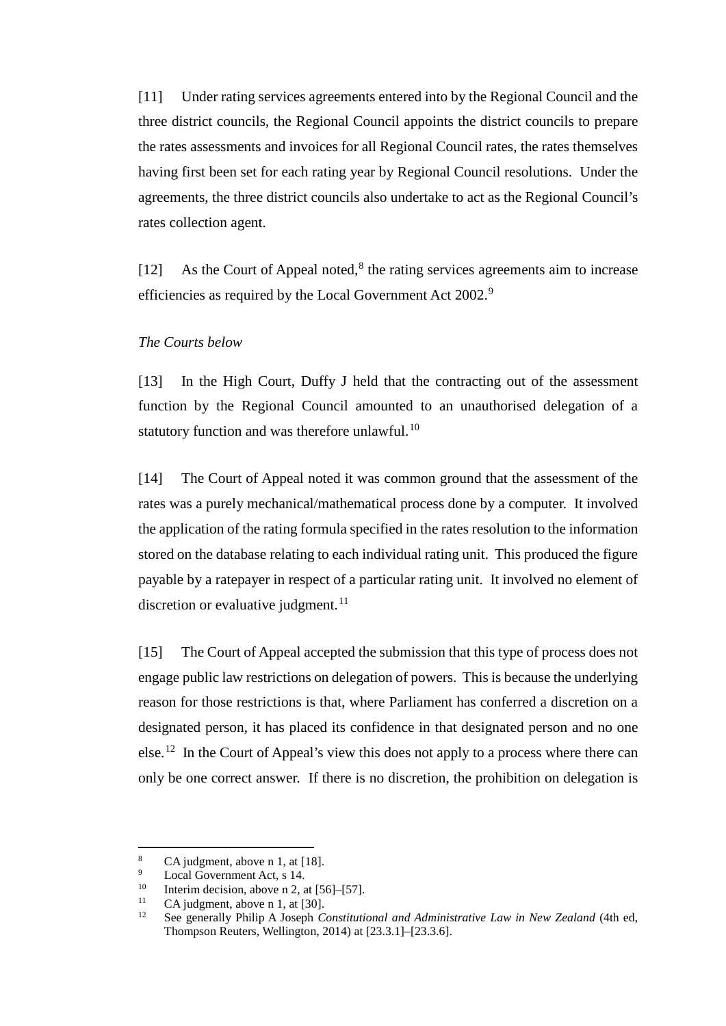[11] Under rating services agreements entered into by the Regional Council and the three district councils, the Regional Council appoints the district councils to prepare the rates assessments and invoices for all Regional Council rates, the rates themselves having first been set for each rating year by Regional Council resolutions. Under the agreements, the three district councils also undertake to act as the Regional Council's rates collection agent.

[12] As the Court of Appeal noted, $8$  the rating services agreements aim to increase efficiencies as required by the Local Government Act 2002.<sup>[9](#page-3-1)</sup>

# *The Courts below*

[13] In the High Court, Duffy J held that the contracting out of the assessment function by the Regional Council amounted to an unauthorised delegation of a statutory function and was therefore unlawful. $^{10}$  $^{10}$  $^{10}$ 

[14] The Court of Appeal noted it was common ground that the assessment of the rates was a purely mechanical/mathematical process done by a computer. It involved the application of the rating formula specified in the rates resolution to the information stored on the database relating to each individual rating unit. This produced the figure payable by a ratepayer in respect of a particular rating unit. It involved no element of discretion or evaluative judgment. $11$ 

[15] The Court of Appeal accepted the submission that this type of process does not engage public law restrictions on delegation of powers. This is because the underlying reason for those restrictions is that, where Parliament has conferred a discretion on a designated person, it has placed its confidence in that designated person and no one else.<sup>[12](#page-3-4)</sup> In the Court of Appeal's view this does not apply to a process where there can only be one correct answer. If there is no discretion, the prohibition on delegation is

<span id="page-3-0"></span><sup>8</sup> CA judgment, above n [1,](#page-1-0) at [18].<br>
<sup>9</sup> Local Government Act, s 14.<br>
<sup>10</sup> Interim docision, above n 2, at [5]

<span id="page-3-1"></span>

<span id="page-3-2"></span><sup>&</sup>lt;sup>10</sup> Interim decision, above n [2,](#page-1-6) at [56]–[57].<br><sup>11</sup> CA judgment, above n 1, at [30].

<span id="page-3-3"></span>

<span id="page-3-4"></span><sup>&</sup>lt;sup>12</sup> See generally Philip A Joseph *Constitutional and Administrative Law in New Zealand* (4th ed, Thompson Reuters, Wellington, 2014) at [23.3.1]–[23.3.6].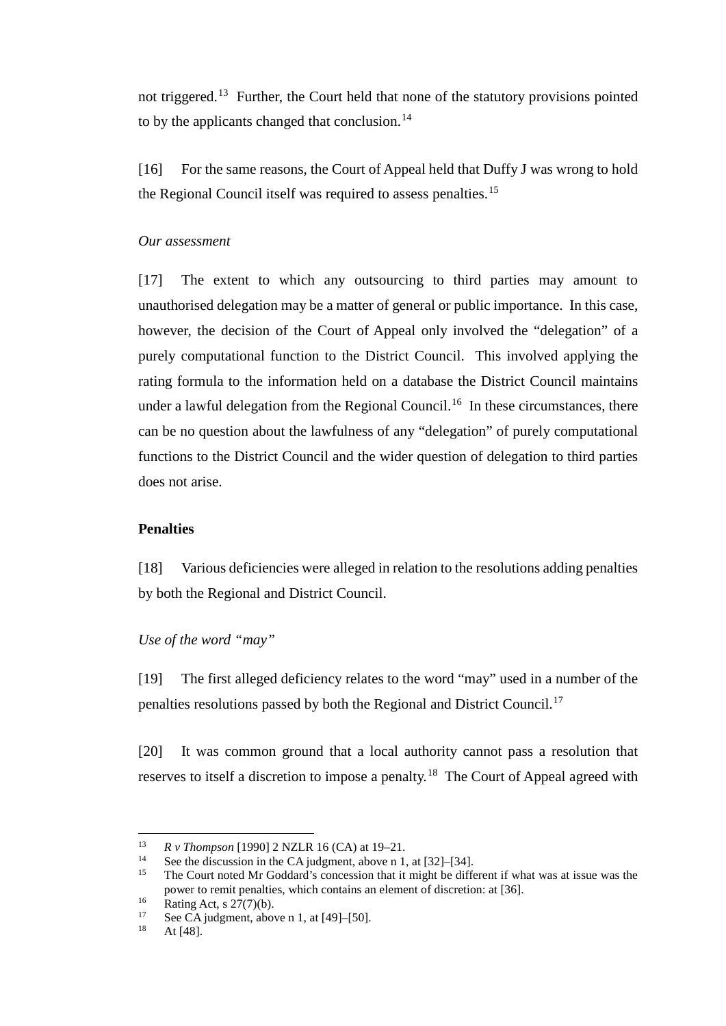not triggered.<sup>[13](#page-4-0)</sup> Further, the Court held that none of the statutory provisions pointed to by the applicants changed that conclusion. $^{14}$ 

[16] For the same reasons, the Court of Appeal held that Duffy J was wrong to hold the Regional Council itself was required to assess penalties.<sup>[15](#page-4-2)</sup>

### *Our assessment*

[17] The extent to which any outsourcing to third parties may amount to unauthorised delegation may be a matter of general or public importance. In this case, however, the decision of the Court of Appeal only involved the "delegation" of a purely computational function to the District Council. This involved applying the rating formula to the information held on a database the District Council maintains under a lawful delegation from the Regional Council.<sup>16</sup> In these circumstances, there can be no question about the lawfulness of any "delegation" of purely computational functions to the District Council and the wider question of delegation to third parties does not arise.

# **Penalties**

[18] Various deficiencies were alleged in relation to the resolutions adding penalties by both the Regional and District Council.

*Use of the word "may"*

[19] The first alleged deficiency relates to the word "may" used in a number of the penalties resolutions passed by both the Regional and District Council.[17](#page-4-4)

[20] It was common ground that a local authority cannot pass a resolution that reserves to itself a discretion to impose a penalty.<sup>[18](#page-4-5)</sup> The Court of Appeal agreed with

<span id="page-4-0"></span><sup>13</sup> *R v Thompson* [1990] 2 NZLR 16 (CA) at 19–21.<br><sup>14</sup> See the discussion in the CA judgment, above n 1, at [32]–[34].

<span id="page-4-2"></span><span id="page-4-1"></span> $15$  The Court noted Mr Goddard's concession that it might be different if what was at issue was the power to remit penalties, which contains an element of discretion: at [36].

<span id="page-4-5"></span><span id="page-4-4"></span><span id="page-4-3"></span><sup>&</sup>lt;sup>16</sup> Rating Act, s 27(7)(b).<br><sup>17</sup> See CA judgment, above n [1,](#page-1-0) at [49]–[50].<br><sup>18</sup> At [48].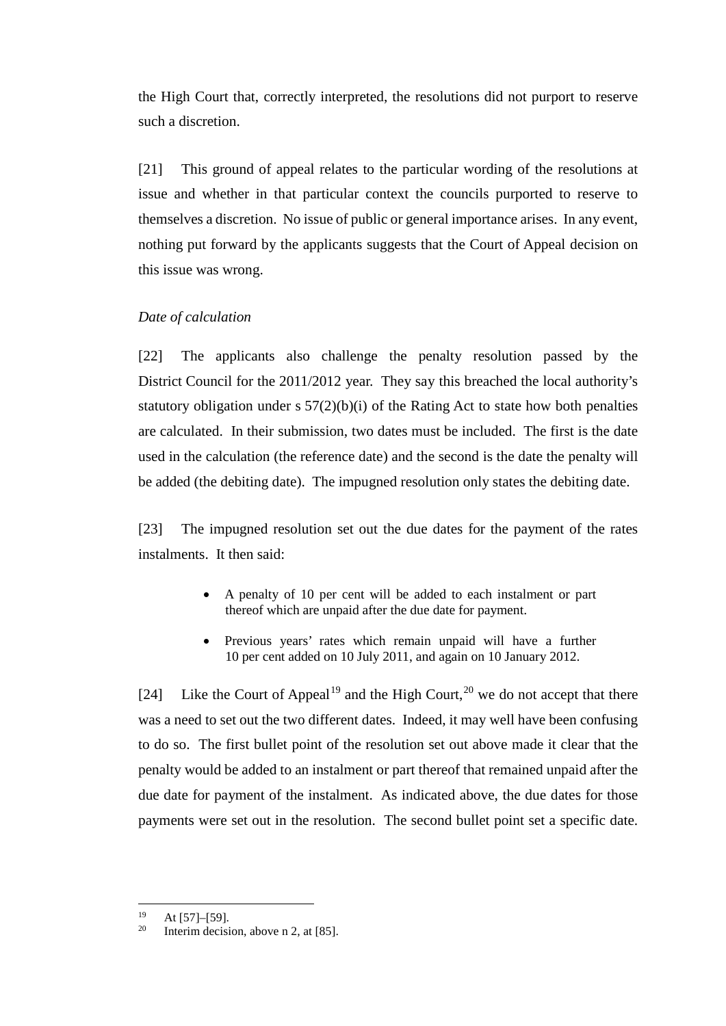the High Court that, correctly interpreted, the resolutions did not purport to reserve such a discretion.

[21] This ground of appeal relates to the particular wording of the resolutions at issue and whether in that particular context the councils purported to reserve to themselves a discretion. No issue of public or general importance arises. In any event, nothing put forward by the applicants suggests that the Court of Appeal decision on this issue was wrong.

# *Date of calculation*

[22] The applicants also challenge the penalty resolution passed by the District Council for the 2011/2012 year. They say this breached the local authority's statutory obligation under  $s 57(2)(b)(i)$  of the Rating Act to state how both penalties are calculated. In their submission, two dates must be included. The first is the date used in the calculation (the reference date) and the second is the date the penalty will be added (the debiting date). The impugned resolution only states the debiting date.

[23] The impugned resolution set out the due dates for the payment of the rates instalments. It then said:

- A penalty of 10 per cent will be added to each instalment or part thereof which are unpaid after the due date for payment.
- Previous years' rates which remain unpaid will have a further 10 per cent added on 10 July 2011, and again on 10 January 2012.

[24] Like the Court of Appeal<sup>[19](#page-5-0)</sup> and the High Court,<sup>[20](#page-5-1)</sup> we do not accept that there was a need to set out the two different dates. Indeed, it may well have been confusing to do so. The first bullet point of the resolution set out above made it clear that the penalty would be added to an instalment or part thereof that remained unpaid after the due date for payment of the instalment. As indicated above, the due dates for those payments were set out in the resolution. The second bullet point set a specific date.

<span id="page-5-1"></span><span id="page-5-0"></span><sup>&</sup>lt;sup>19</sup> At [57]–[59].<br><sup>20</sup> Interim decision, above n [2,](#page-1-6) at [85].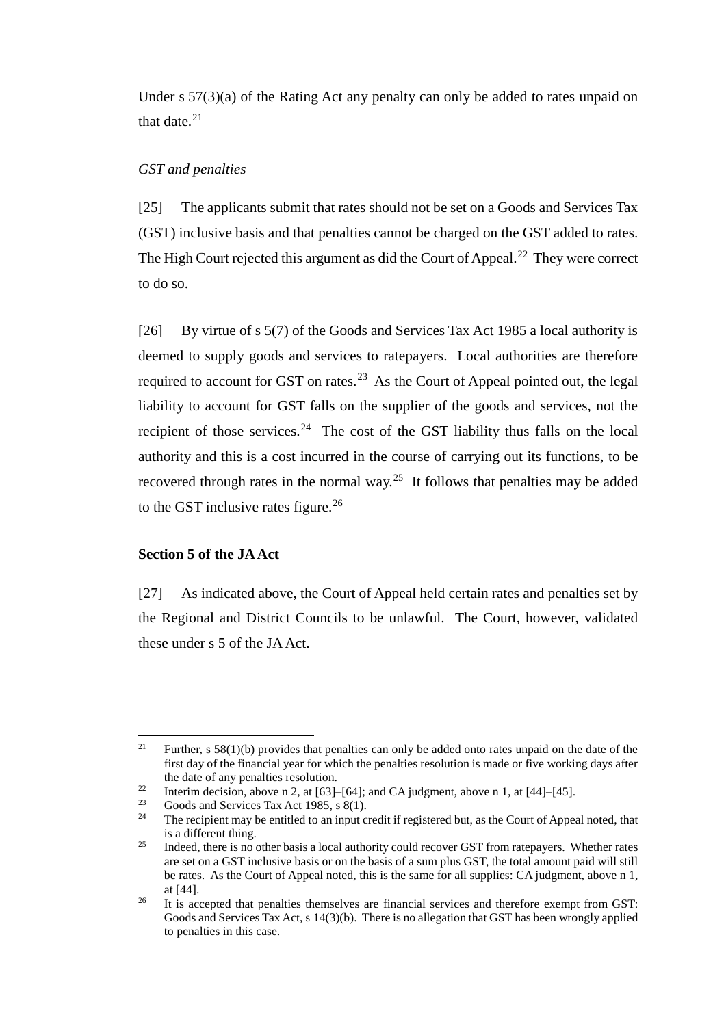Under s 57(3)(a) of the Rating Act any penalty can only be added to rates unpaid on that date  $21$ 

### *GST and penalties*

[25] The applicants submit that rates should not be set on a Goods and Services Tax (GST) inclusive basis and that penalties cannot be charged on the GST added to rates. The High Court rejected this argument as did the Court of Appeal.<sup>22</sup> They were correct to do so.

[26] By virtue of s 5(7) of the Goods and Services Tax Act 1985 a local authority is deemed to supply goods and services to ratepayers. Local authorities are therefore required to account for GST on rates.<sup>[23](#page-6-2)</sup> As the Court of Appeal pointed out, the legal liability to account for GST falls on the supplier of the goods and services, not the recipient of those services.<sup>[24](#page-6-3)</sup> The cost of the GST liability thus falls on the local authority and this is a cost incurred in the course of carrying out its functions, to be recovered through rates in the normal way.<sup>[25](#page-6-4)</sup> It follows that penalties may be added to the GST inclusive rates figure.<sup>[26](#page-6-5)</sup>

# **Section 5 of the JA Act**

[27] As indicated above, the Court of Appeal held certain rates and penalties set by the Regional and District Councils to be unlawful. The Court, however, validated these under s 5 of the JAAct.

<span id="page-6-0"></span><sup>&</sup>lt;sup>21</sup> Further, s 58(1)(b) provides that penalties can only be added onto rates unpaid on the date of the first day of the financial year for which the penalties resolution is made or five working days after

<span id="page-6-1"></span>the date of any penalties resolution.<br>
<sup>22</sup> Interim decision, above n [2,](#page-1-6) at [63]–[64]; and CA judgment, above [n 1,](#page-1-0) at [44]–[45].<br>
Coods and Samises Tay Ast 1085, a 8(1).

<span id="page-6-3"></span><span id="page-6-2"></span><sup>&</sup>lt;sup>23</sup> Goods and Services Tax Act 1985, s 8(1).<br><sup>24</sup> The recipient may be entitled to an input credit if registered but, as the Court of Appeal noted, that is a different thing.

<span id="page-6-4"></span><sup>&</sup>lt;sup>25</sup> Indeed, there is no other basis a local authority could recover GST from ratepayers. Whether rates are set on a GST inclusive basis or on the basis of a sum plus GST, the total amount paid will still be rates. As the Court of Appeal noted, this is the same for all supplies: CA judgment, above n [1,](#page-1-0) at [44]. 26 It is accepted that penalties themselves are financial services and therefore exempt from GST:

<span id="page-6-5"></span>Goods and Services Tax Act, s 14(3)(b). There is no allegation that GST has been wrongly applied to penalties in this case.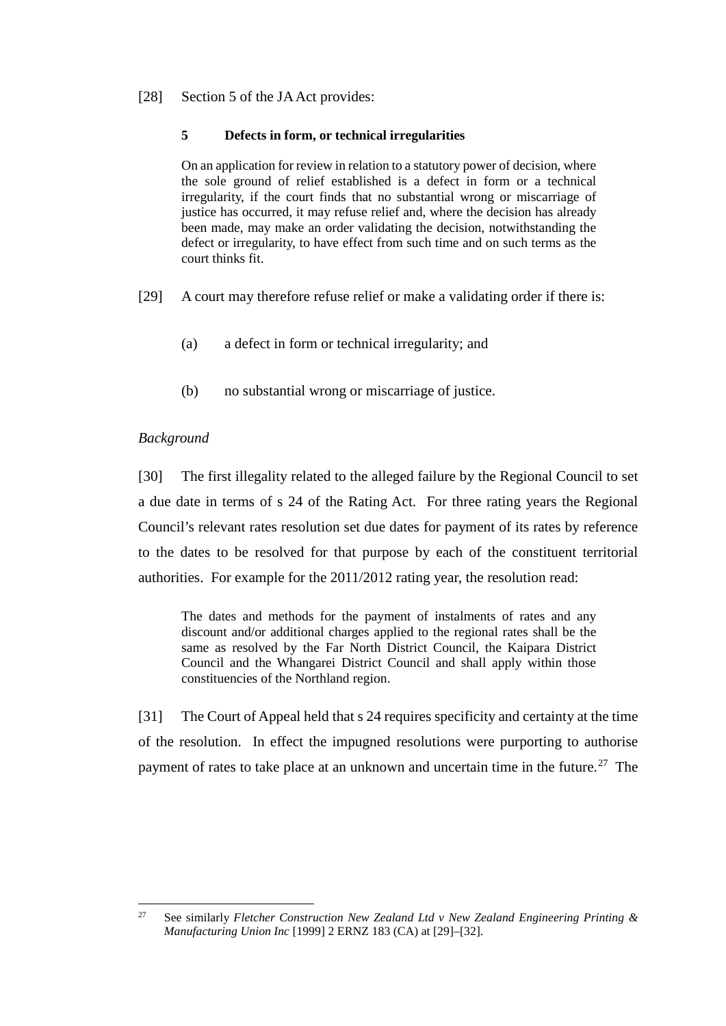### [28] Section 5 of the JA Act provides:

### **5 Defects in form, or technical irregularities**

On an application for review in relation to a statutory power of decision, where the sole ground of relief established is a defect in form or a technical irregularity, if the court finds that no substantial wrong or miscarriage of justice has occurred, it may refuse relief and, where the decision has already been made, may make an order validating the decision, notwithstanding the defect or irregularity, to have effect from such time and on such terms as the court thinks fit.

- [29] A court may therefore refuse relief or make a validating order if there is:
	- (a) a defect in form or technical irregularity; and
	- (b) no substantial wrong or miscarriage of justice.

# *Background*

[30] The first illegality related to the alleged failure by the Regional Council to set a due date in terms of s 24 of the Rating Act. For three rating years the Regional Council's relevant rates resolution set due dates for payment of its rates by reference to the dates to be resolved for that purpose by each of the constituent territorial authorities. For example for the 2011/2012 rating year, the resolution read:

The dates and methods for the payment of instalments of rates and any discount and/or additional charges applied to the regional rates shall be the same as resolved by the Far North District Council, the Kaipara District Council and the Whangarei District Council and shall apply within those constituencies of the Northland region.

[31] The Court of Appeal held that s 24 requires specificity and certainty at the time of the resolution. In effect the impugned resolutions were purporting to authorise payment of rates to take place at an unknown and uncertain time in the future.<sup>[27](#page-7-0)</sup> The

<span id="page-7-0"></span> <sup>27</sup> See similarly *Fletcher Construction New Zealand Ltd v New Zealand Engineering Printing & Manufacturing Union Inc* [1999] 2 ERNZ 183 (CA) at [29]–[32].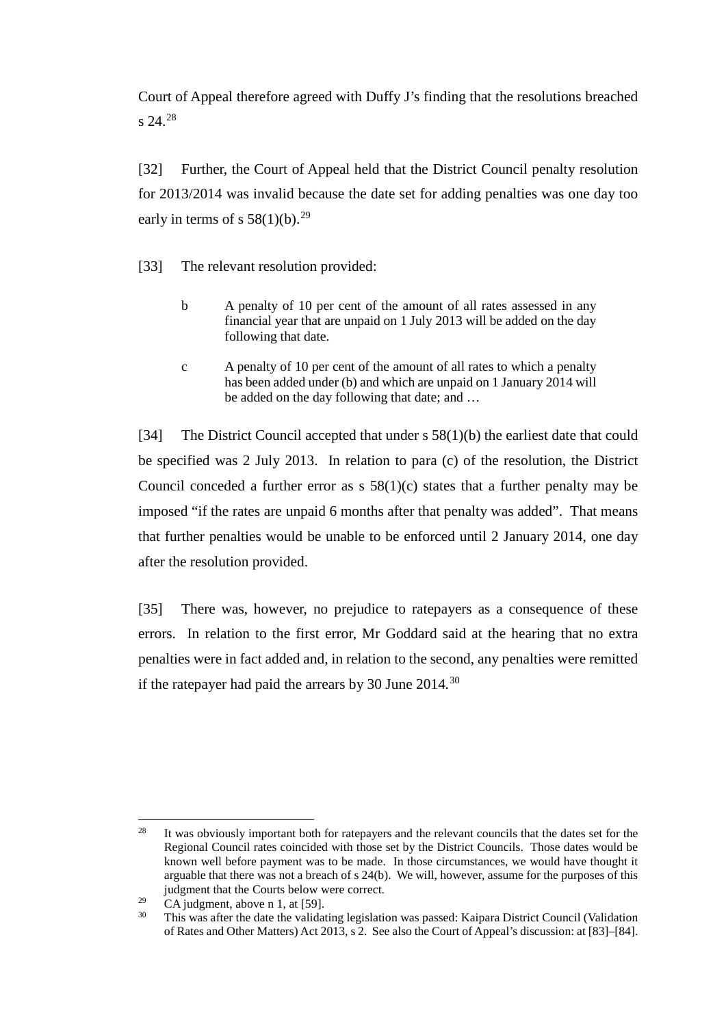Court of Appeal therefore agreed with Duffy J's finding that the resolutions breached s 24.<sup>[28](#page-8-0)</sup>

<span id="page-8-3"></span>[32] Further, the Court of Appeal held that the District Council penalty resolution for 2013/2014 was invalid because the date set for adding penalties was one day too early in terms of s  $58(1)(b)$ .<sup>[29](#page-8-1)</sup>

- <span id="page-8-4"></span>[33] The relevant resolution provided:
	- b A penalty of 10 per cent of the amount of all rates assessed in any financial year that are unpaid on 1 July 2013 will be added on the day following that date.
	- c A penalty of 10 per cent of the amount of all rates to which a penalty has been added under (b) and which are unpaid on 1 January 2014 will be added on the day following that date; and …

[34] The District Council accepted that under s 58(1)(b) the earliest date that could be specified was 2 July 2013. In relation to para (c) of the resolution, the District Council conceded a further error as  $s$  58(1)(c) states that a further penalty may be imposed "if the rates are unpaid 6 months after that penalty was added". That means that further penalties would be unable to be enforced until 2 January 2014, one day after the resolution provided.

[35] There was, however, no prejudice to ratepayers as a consequence of these errors. In relation to the first error, Mr Goddard said at the hearing that no extra penalties were in fact added and, in relation to the second, any penalties were remitted if the ratepayer had paid the arrears by 30 June 2014*.* [30](#page-8-2)

<span id="page-8-0"></span><sup>&</sup>lt;sup>28</sup> It was obviously important both for ratepayers and the relevant councils that the dates set for the Regional Council rates coincided with those set by the District Councils. Those dates would be known well before payment was to be made. In those circumstances, we would have thought it arguable that there was not a breach of s 24(b). We will, however, assume for the purposes of this judgment that the Courts below were correct.<br>CA judgment, above n 1, at [59].

<span id="page-8-2"></span><span id="page-8-1"></span><sup>&</sup>lt;sup>29</sup> CA judgment, above n [1,](#page-1-0) at [59].<br><sup>30</sup> This was after the date the validating legislation was passed: Kaipara District Council (Validation of Rates and Other Matters) Act 2013, s 2. See also the Court of Appeal's discussion: at [83]–[84].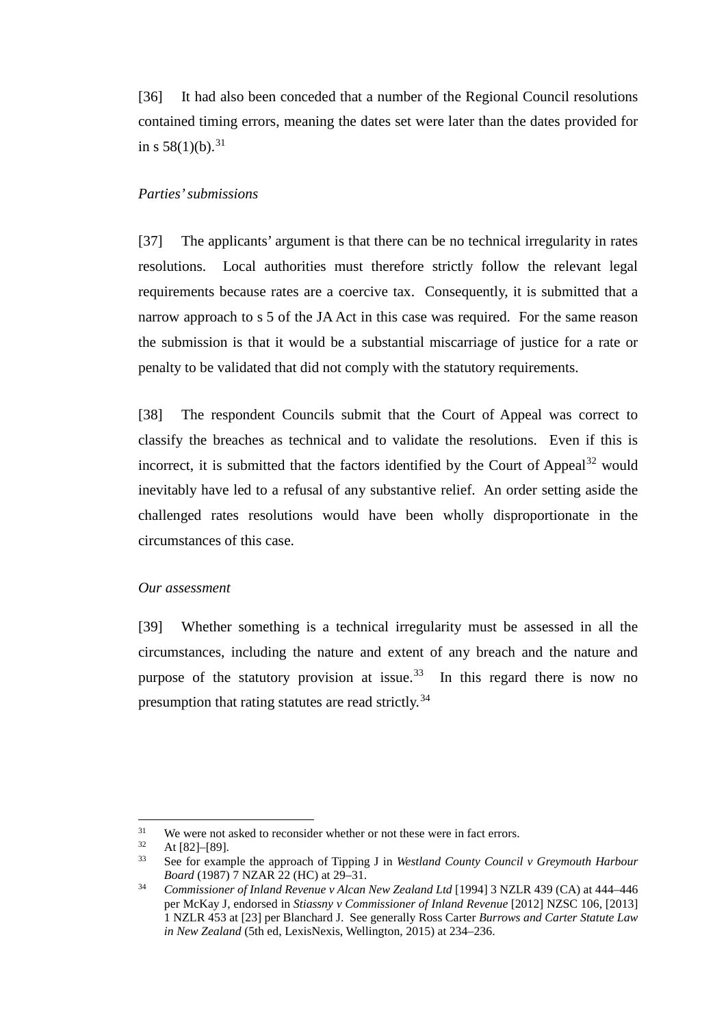[36] It had also been conceded that a number of the Regional Council resolutions contained timing errors, meaning the dates set were later than the dates provided for in s  $58(1)(b)$ .<sup>[31](#page-9-0)</sup>

#### *Parties' submissions*

[37] The applicants' argument is that there can be no technical irregularity in rates resolutions. Local authorities must therefore strictly follow the relevant legal requirements because rates are a coercive tax. Consequently, it is submitted that a narrow approach to s 5 of the JA Act in this case was required. For the same reason the submission is that it would be a substantial miscarriage of justice for a rate or penalty to be validated that did not comply with the statutory requirements.

[38] The respondent Councils submit that the Court of Appeal was correct to classify the breaches as technical and to validate the resolutions. Even if this is incorrect, it is submitted that the factors identified by the Court of Appeal $^{32}$  $^{32}$  $^{32}$  would inevitably have led to a refusal of any substantive relief. An order setting aside the challenged rates resolutions would have been wholly disproportionate in the circumstances of this case.

#### *Our assessment*

[39] Whether something is a technical irregularity must be assessed in all the circumstances, including the nature and extent of any breach and the nature and purpose of the statutory provision at issue.<sup>33</sup> In this regard there is now no presumption that rating statutes are read strictly.<sup>34</sup>

<span id="page-9-0"></span><sup>&</sup>lt;sup>31</sup> We were not asked to reconsider whether or not these were in fact errors.<br> $\Delta t$  [82] [80]

<span id="page-9-1"></span> $\frac{32}{33}$  At [82]–[89].

<span id="page-9-2"></span><sup>33</sup> See for example the approach of Tipping J in *Westland County Council v Greymouth Harbour Board* (1987) 7 NZAR 22 (HC) at 29–31.<br>34 *Commissioner of Inland Revenue v Alcan New Zealand Ltd* [1994] 3 NZLR 439 (CA) at 444–446

<span id="page-9-3"></span>per McKay J, endorsed in *Stiassny v Commissioner of Inland Revenue* [2012] NZSC 106, [2013] 1 NZLR 453 at [23] per Blanchard J. See generally Ross Carter *Burrows and Carter Statute Law in New Zealand* (5th ed, LexisNexis, Wellington, 2015) at 234–236.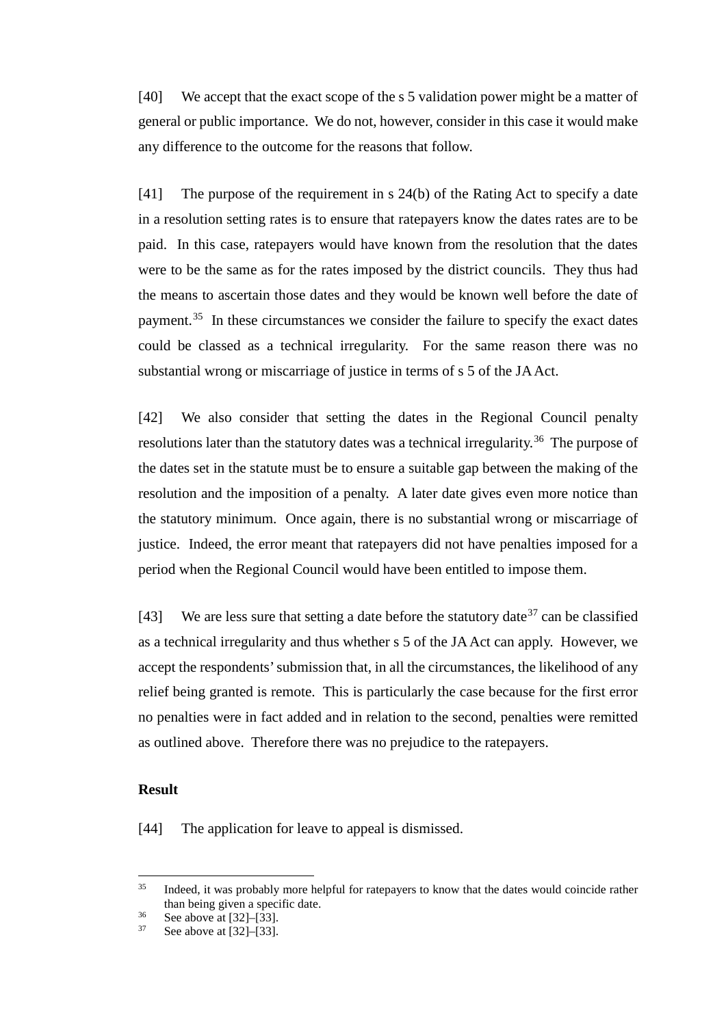[40] We accept that the exact scope of the s 5 validation power might be a matter of general or public importance. We do not, however, consider in this case it would make any difference to the outcome for the reasons that follow.

[41] The purpose of the requirement in s 24(b) of the Rating Act to specify a date in a resolution setting rates is to ensure that ratepayers know the dates rates are to be paid. In this case, ratepayers would have known from the resolution that the dates were to be the same as for the rates imposed by the district councils. They thus had the means to ascertain those dates and they would be known well before the date of payment.<sup>[35](#page-10-0)</sup> In these circumstances we consider the failure to specify the exact dates could be classed as a technical irregularity. For the same reason there was no substantial wrong or miscarriage of justice in terms of s 5 of the JAAct.

[42] We also consider that setting the dates in the Regional Council penalty resolutions later than the statutory dates was a technical irregularity.<sup>[36](#page-10-1)</sup> The purpose of the dates set in the statute must be to ensure a suitable gap between the making of the resolution and the imposition of a penalty. A later date gives even more notice than the statutory minimum. Once again, there is no substantial wrong or miscarriage of justice. Indeed, the error meant that ratepayers did not have penalties imposed for a period when the Regional Council would have been entitled to impose them.

[43] We are less sure that setting a date before the statutory date  $37$  can be classified as a technical irregularity and thus whether s 5 of the JA Act can apply. However, we accept the respondents' submission that, in all the circumstances, the likelihood of any relief being granted is remote. This is particularly the case because for the first error no penalties were in fact added and in relation to the second, penalties were remitted as outlined above. Therefore there was no prejudice to the ratepayers.

#### **Result**

[44] The application for leave to appeal is dismissed.

<span id="page-10-0"></span><sup>&</sup>lt;sup>35</sup> Indeed, it was probably more helpful for ratepayers to know that the dates would coincide rather than being given a specific date.

<span id="page-10-2"></span><span id="page-10-1"></span> $36$  See above a[t \[32\]–](#page-8-3)[\[33\].](#page-8-4)

See above at  $[32]$ – $[33]$ .